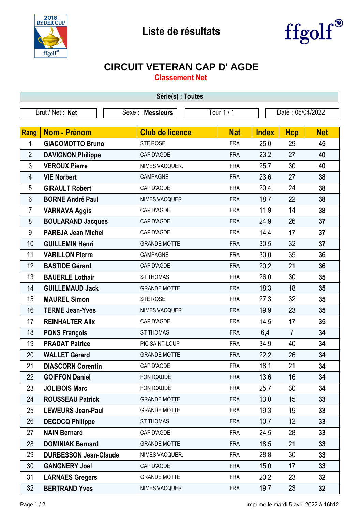



## **CIRCUIT VETERAN CAP D' AGDE**

**Classement Net**

| Série(s) : Toutes |                              |                        |            |                  |                |            |  |  |  |
|-------------------|------------------------------|------------------------|------------|------------------|----------------|------------|--|--|--|
| Brut / Net: Net   |                              | Sexe : Messieurs       | Tour 1 / 1 | Date: 05/04/2022 |                |            |  |  |  |
|                   |                              |                        |            |                  |                |            |  |  |  |
| Rang              | <b>Nom - Prénom</b>          | <b>Club de licence</b> | <b>Nat</b> | <b>Index</b>     | <b>Hcp</b>     | <b>Net</b> |  |  |  |
| 1                 | <b>GIACOMOTTO Bruno</b>      | STE ROSE               | <b>FRA</b> | 25,0             | 29             | 45         |  |  |  |
| $\overline{2}$    | <b>DAVIGNON Philippe</b>     | CAP D'AGDE             | <b>FRA</b> | 23,2             | 27             | 40         |  |  |  |
| 3                 | <b>VEROUX Pierre</b>         | NIMES VACQUER.         | <b>FRA</b> | 25,7             | 30             | 40         |  |  |  |
| 4                 | <b>VIE Norbert</b>           | CAMPAGNE               | <b>FRA</b> | 23,6             | 27             | 38         |  |  |  |
| 5                 | <b>GIRAULT Robert</b>        | CAP D'AGDE             | <b>FRA</b> | 20,4             | 24             | 38         |  |  |  |
| 6                 | <b>BORNE André Paul</b>      | NIMES VACQUER.         | <b>FRA</b> | 18,7             | 22             | 38         |  |  |  |
| $\overline{7}$    | <b>VARNAVA Aggis</b>         | CAP D'AGDE             | <b>FRA</b> | 11,9             | 14             | 38         |  |  |  |
| 8                 | <b>BOULARAND Jacques</b>     | CAP D'AGDE             | <b>FRA</b> | 24,9             | 26             | 37         |  |  |  |
| 9                 | <b>PAREJA Jean Michel</b>    | CAP D'AGDE             | <b>FRA</b> | 14,4             | 17             | 37         |  |  |  |
| 10                | <b>GUILLEMIN Henri</b>       | <b>GRANDE MOTTE</b>    | <b>FRA</b> | 30,5             | 32             | 37         |  |  |  |
| 11                | <b>VARILLON Pierre</b>       | CAMPAGNE               | <b>FRA</b> | 30,0             | 35             | 36         |  |  |  |
| 12                | <b>BASTIDE Gérard</b>        | CAP D'AGDE             | <b>FRA</b> | 20,2             | 21             | 36         |  |  |  |
| 13                | <b>BAUERLE Lothair</b>       | <b>ST THOMAS</b>       | <b>FRA</b> | 26,0             | 30             | 35         |  |  |  |
| 14                | <b>GUILLEMAUD Jack</b>       | <b>GRANDE MOTTE</b>    | <b>FRA</b> | 18,3             | 18             | 35         |  |  |  |
| 15                | <b>MAUREL Simon</b>          | STE ROSE               | <b>FRA</b> | 27,3             | 32             | 35         |  |  |  |
| 16                | <b>TERME Jean-Yves</b>       | NIMES VACQUER.         | <b>FRA</b> | 19,9             | 23             | 35         |  |  |  |
| 17                | <b>REINHALTER Alix</b>       | CAP D'AGDE             | <b>FRA</b> | 14,5             | 17             | 35         |  |  |  |
| 18                | <b>PONS François</b>         | <b>ST THOMAS</b>       | <b>FRA</b> | 6,4              | $\overline{7}$ | 34         |  |  |  |
| 19                | <b>PRADAT Patrice</b>        | PIC SAINT-LOUP         | <b>FRA</b> | 34,9             | 40             | 34         |  |  |  |
| 20                | <b>WALLET Gerard</b>         | <b>GRANDE MOTTE</b>    | <b>FRA</b> | 22,2             | 26             | 34         |  |  |  |
| 21                | <b>DIASCORN Corentin</b>     | CAP D'AGDE             | <b>FRA</b> | 18,1             | 21             | 34         |  |  |  |
| 22                | <b>GOIFFON Daniel</b>        | <b>FONTCAUDE</b>       | <b>FRA</b> | 13,6             | 16             | 34         |  |  |  |
| 23                | <b>JOLIBOIS Marc</b>         | <b>FONTCAUDE</b>       | <b>FRA</b> | 25,7             | 30             | 34         |  |  |  |
| 24                | <b>ROUSSEAU Patrick</b>      | <b>GRANDE MOTTE</b>    | <b>FRA</b> | 13,0             | 15             | 33         |  |  |  |
| 25                | <b>LEWEURS Jean-Paul</b>     | <b>GRANDE MOTTE</b>    | <b>FRA</b> | 19,3             | 19             | 33         |  |  |  |
| 26                | <b>DECOCQ Philippe</b>       | <b>ST THOMAS</b>       | <b>FRA</b> | 10,7             | 12             | 33         |  |  |  |
| 27                | <b>NAIN Bernard</b>          | CAP D'AGDE             | <b>FRA</b> | 24,5             | 28             | 33         |  |  |  |
| 28                | <b>DOMINIAK Bernard</b>      | <b>GRANDE MOTTE</b>    | <b>FRA</b> | 18,5             | 21             | 33         |  |  |  |
| 29                | <b>DURBESSON Jean-Claude</b> | NIMES VACQUER.         | <b>FRA</b> | 28,8             | 30             | 33         |  |  |  |
| 30                | <b>GANGNERY Joel</b>         | CAP D'AGDE             | <b>FRA</b> | 15,0             | 17             | 33         |  |  |  |
| 31                | <b>LARNAES Gregers</b>       | <b>GRANDE MOTTE</b>    | <b>FRA</b> | 20,2             | 23             | 32         |  |  |  |
| 32                | <b>BERTRAND Yves</b>         | NIMES VACQUER.         | <b>FRA</b> | 19,7             | 23             | 32         |  |  |  |